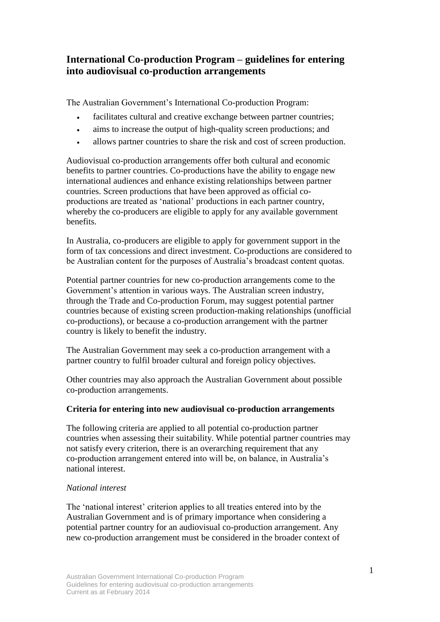# **International Co-production Program – guidelines for entering into audiovisual co-production arrangements**

The Australian Government's International Co-production Program:

- facilitates cultural and creative exchange between partner countries;
- aims to increase the output of high-quality screen productions; and
- allows partner countries to share the risk and cost of screen production.

Audiovisual co-production arrangements offer both cultural and economic benefits to partner countries. Co-productions have the ability to engage new international audiences and enhance existing relationships between partner countries. Screen productions that have been approved as official coproductions are treated as 'national' productions in each partner country, whereby the co-producers are eligible to apply for any available government benefits.

In Australia, co-producers are eligible to apply for government support in the form of tax concessions and direct investment. Co-productions are considered to be Australian content for the purposes of Australia's broadcast content quotas.

Potential partner countries for new co-production arrangements come to the Government's attention in various ways. The Australian screen industry, through the Trade and Co-production Forum, may suggest potential partner countries because of existing screen production-making relationships (unofficial co-productions), or because a co-production arrangement with the partner country is likely to benefit the industry.

The Australian Government may seek a co-production arrangement with a partner country to fulfil broader cultural and foreign policy objectives.

Other countries may also approach the Australian Government about possible co-production arrangements.

# **Criteria for entering into new audiovisual co-production arrangements**

The following criteria are applied to all potential co-production partner countries when assessing their suitability. While potential partner countries may not satisfy every criterion, there is an overarching requirement that any co-production arrangement entered into will be, on balance, in Australia's national interest.

# *National interest*

The 'national interest' criterion applies to all treaties entered into by the Australian Government and is of primary importance when considering a potential partner country for an audiovisual co-production arrangement. Any new co-production arrangement must be considered in the broader context of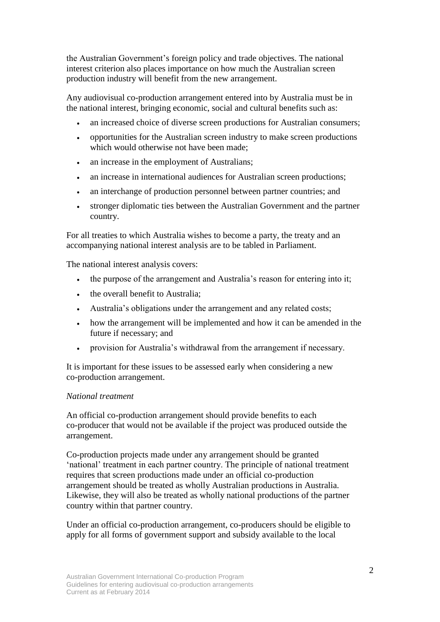the Australian Government's foreign policy and trade objectives. The national interest criterion also places importance on how much the Australian screen production industry will benefit from the new arrangement.

Any audiovisual co-production arrangement entered into by Australia must be in the national interest, bringing economic, social and cultural benefits such as:

- an increased choice of diverse screen productions for Australian consumers;
- opportunities for the Australian screen industry to make screen productions which would otherwise not have been made;
- an increase in the employment of Australians;
- an increase in international audiences for Australian screen productions;
- an interchange of production personnel between partner countries; and
- stronger diplomatic ties between the Australian Government and the partner country.

For all treaties to which Australia wishes to become a party, the treaty and an accompanying national interest analysis are to be tabled in Parliament.

The national interest analysis covers:

- the purpose of the arrangement and Australia's reason for entering into it;
- the overall benefit to Australia;
- Australia's obligations under the arrangement and any related costs;
- how the arrangement will be implemented and how it can be amended in the future if necessary; and
- provision for Australia's withdrawal from the arrangement if necessary.

It is important for these issues to be assessed early when considering a new co-production arrangement.

## *National treatment*

An official co-production arrangement should provide benefits to each co-producer that would not be available if the project was produced outside the arrangement.

Co-production projects made under any arrangement should be granted 'national' treatment in each partner country. The principle of national treatment requires that screen productions made under an official co-production arrangement should be treated as wholly Australian productions in Australia. Likewise, they will also be treated as wholly national productions of the partner country within that partner country.

Under an official co-production arrangement, co-producers should be eligible to apply for all forms of government support and subsidy available to the local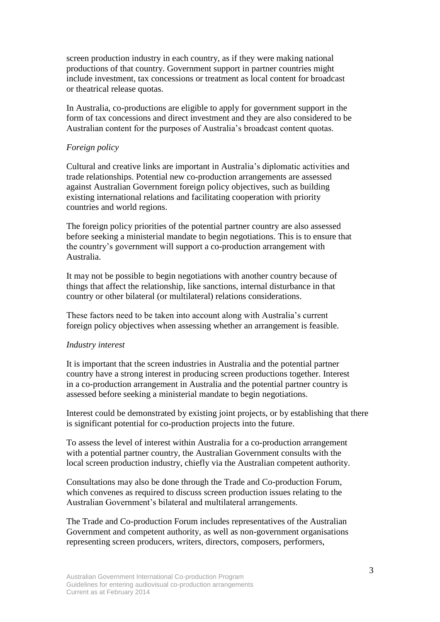screen production industry in each country, as if they were making national productions of that country. Government support in partner countries might include investment, tax concessions or treatment as local content for broadcast or theatrical release quotas.

In Australia, co-productions are eligible to apply for government support in the form of tax concessions and direct investment and they are also considered to be Australian content for the purposes of Australia's broadcast content quotas.

#### *Foreign policy*

Cultural and creative links are important in Australia's diplomatic activities and trade relationships. Potential new co-production arrangements are assessed against Australian Government foreign policy objectives, such as building existing international relations and facilitating cooperation with priority countries and world regions.

The foreign policy priorities of the potential partner country are also assessed before seeking a ministerial mandate to begin negotiations. This is to ensure that the country's government will support a co-production arrangement with Australia.

It may not be possible to begin negotiations with another country because of things that affect the relationship, like sanctions, internal disturbance in that country or other bilateral (or multilateral) relations considerations.

These factors need to be taken into account along with Australia's current foreign policy objectives when assessing whether an arrangement is feasible.

#### *Industry interest*

It is important that the screen industries in Australia and the potential partner country have a strong interest in producing screen productions together. Interest in a co-production arrangement in Australia and the potential partner country is assessed before seeking a ministerial mandate to begin negotiations.

Interest could be demonstrated by existing joint projects, or by establishing that there is significant potential for co-production projects into the future.

To assess the level of interest within Australia for a co-production arrangement with a potential partner country, the Australian Government consults with the local screen production industry, chiefly via the Australian competent authority.

Consultations may also be done through the Trade and Co-production Forum, which convenes as required to discuss screen production issues relating to the Australian Government's bilateral and multilateral arrangements.

The Trade and Co-production Forum includes representatives of the Australian Government and competent authority, as well as non-government organisations representing screen producers, writers, directors, composers, performers,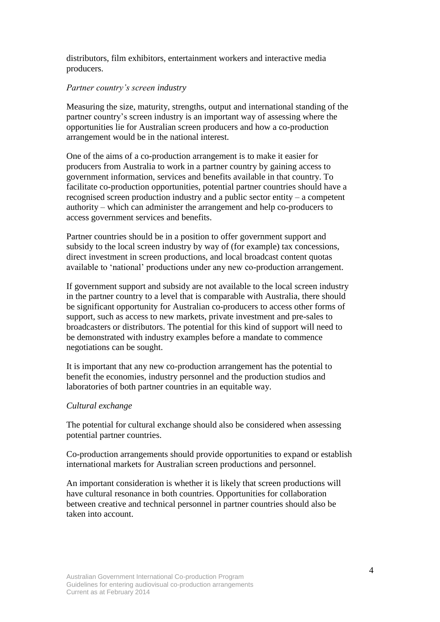distributors, film exhibitors, entertainment workers and interactive media producers.

## *Partner country's screen industry*

Measuring the size, maturity, strengths, output and international standing of the partner country's screen industry is an important way of assessing where the opportunities lie for Australian screen producers and how a co-production arrangement would be in the national interest.

One of the aims of a co-production arrangement is to make it easier for producers from Australia to work in a partner country by gaining access to government information, services and benefits available in that country. To facilitate co-production opportunities, potential partner countries should have a recognised screen production industry and a public sector entity – a competent authority – which can administer the arrangement and help co-producers to access government services and benefits.

Partner countries should be in a position to offer government support and subsidy to the local screen industry by way of (for example) tax concessions, direct investment in screen productions, and local broadcast content quotas available to 'national' productions under any new co-production arrangement.

If government support and subsidy are not available to the local screen industry in the partner country to a level that is comparable with Australia, there should be significant opportunity for Australian co-producers to access other forms of support, such as access to new markets, private investment and pre-sales to broadcasters or distributors. The potential for this kind of support will need to be demonstrated with industry examples before a mandate to commence negotiations can be sought.

It is important that any new co-production arrangement has the potential to benefit the economies, industry personnel and the production studios and laboratories of both partner countries in an equitable way.

# *Cultural exchange*

The potential for cultural exchange should also be considered when assessing potential partner countries.

Co-production arrangements should provide opportunities to expand or establish international markets for Australian screen productions and personnel.

An important consideration is whether it is likely that screen productions will have cultural resonance in both countries. Opportunities for collaboration between creative and technical personnel in partner countries should also be taken into account.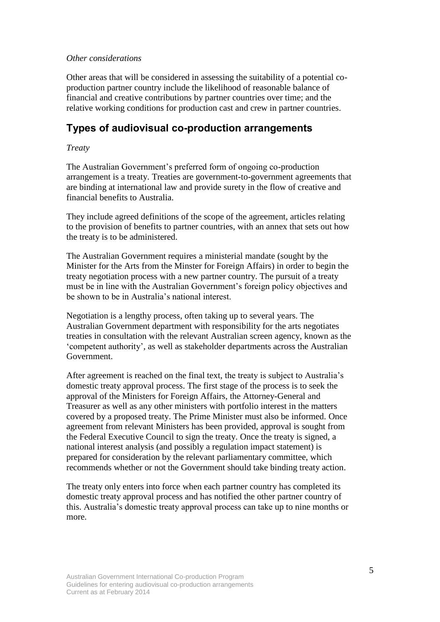## *Other considerations*

Other areas that will be considered in assessing the suitability of a potential coproduction partner country include the likelihood of reasonable balance of financial and creative contributions by partner countries over time; and the relative working conditions for production cast and crew in partner countries.

# **Types of audiovisual co-production arrangements**

## *Treaty*

The Australian Government's preferred form of ongoing co-production arrangement is a treaty. Treaties are government-to-government agreements that are binding at international law and provide surety in the flow of creative and financial benefits to Australia.

They include agreed definitions of the scope of the agreement, articles relating to the provision of benefits to partner countries, with an annex that sets out how the treaty is to be administered.

The Australian Government requires a ministerial mandate (sought by the Minister for the Arts from the Minster for Foreign Affairs) in order to begin the treaty negotiation process with a new partner country. The pursuit of a treaty must be in line with the Australian Government's foreign policy objectives and be shown to be in Australia's national interest.

Negotiation is a lengthy process, often taking up to several years. The Australian Government department with responsibility for the arts negotiates treaties in consultation with the relevant Australian screen agency, known as the 'competent authority', as well as stakeholder departments across the Australian Government.

After agreement is reached on the final text, the treaty is subject to Australia's domestic treaty approval process. The first stage of the process is to seek the approval of the Ministers for Foreign Affairs, the Attorney-General and Treasurer as well as any other ministers with portfolio interest in the matters covered by a proposed treaty. The Prime Minister must also be informed. Once agreement from relevant Ministers has been provided, approval is sought from the Federal Executive Council to sign the treaty. Once the treaty is signed, a national interest analysis (and possibly a regulation impact statement) is prepared for consideration by the relevant parliamentary committee, which recommends whether or not the Government should take binding treaty action.

The treaty only enters into force when each partner country has completed its domestic treaty approval process and has notified the other partner country of this. Australia's domestic treaty approval process can take up to nine months or more.